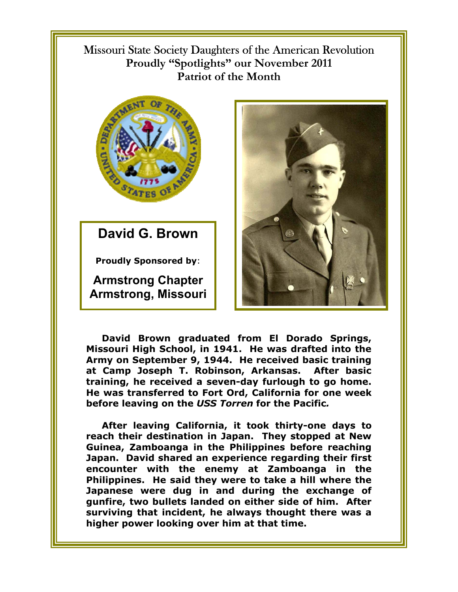Missouri State Society Daughters of the American Revolution **Proudly "Spotlights" our November 2011 Patriot of the Month** 



**David G. Brown** 

**Proudly Sponsored by**:

**Armstrong Chapter Armstrong, Missouri**



**David Brown graduated from El Dorado Springs, Missouri High School, in 1941. He was drafted into the Army on September 9, 1944. He received basic training at Camp Joseph T. Robinson, Arkansas. After basic training, he received a seven-day furlough to go home. He was transferred to Fort Ord, California for one week before leaving on the** *USS Torren* **for the Pacific***.* 

**After leaving California, it took thirty-one days to reach their destination in Japan. They stopped at New Guinea, Zamboanga in the Philippines before reaching Japan. David shared an experience regarding their first encounter with the enemy at Zamboanga in the Philippines. He said they were to take a hill where the Japanese were dug in and during the exchange of gunfire, two bullets landed on either side of him. After surviving that incident, he always thought there was a higher power looking over him at that time.**